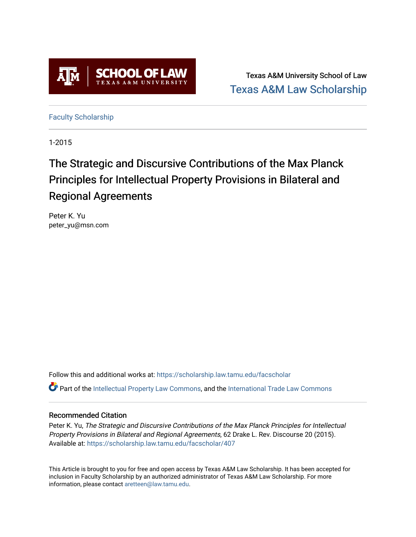

Texas A&M University School of Law [Texas A&M Law Scholarship](https://scholarship.law.tamu.edu/) 

[Faculty Scholarship](https://scholarship.law.tamu.edu/facscholar)

1-2015

# The Strategic and Discursive Contributions of the Max Planck Principles for Intellectual Property Provisions in Bilateral and Regional Agreements

Peter K. Yu peter\_yu@msn.com

Follow this and additional works at: [https://scholarship.law.tamu.edu/facscholar](https://scholarship.law.tamu.edu/facscholar?utm_source=scholarship.law.tamu.edu%2Ffacscholar%2F407&utm_medium=PDF&utm_campaign=PDFCoverPages)  **C** Part of the [Intellectual Property Law Commons,](http://network.bepress.com/hgg/discipline/896?utm_source=scholarship.law.tamu.edu%2Ffacscholar%2F407&utm_medium=PDF&utm_campaign=PDFCoverPages) and the International Trade Law Commons

## Recommended Citation

Peter K. Yu, The Strategic and Discursive Contributions of the Max Planck Principles for Intellectual Property Provisions in Bilateral and Regional Agreements, 62 Drake L. Rev. Discourse 20 (2015). Available at: [https://scholarship.law.tamu.edu/facscholar/407](https://scholarship.law.tamu.edu/facscholar/407?utm_source=scholarship.law.tamu.edu%2Ffacscholar%2F407&utm_medium=PDF&utm_campaign=PDFCoverPages)

This Article is brought to you for free and open access by Texas A&M Law Scholarship. It has been accepted for inclusion in Faculty Scholarship by an authorized administrator of Texas A&M Law Scholarship. For more information, please contact [aretteen@law.tamu.edu](mailto:aretteen@law.tamu.edu).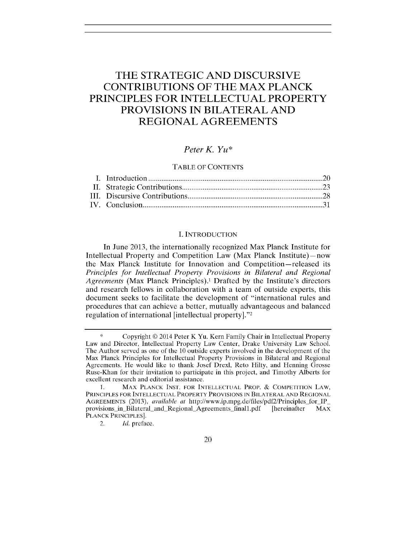# **THE STRATEGIC AND DISCURSIVE CONTRIBUTIONS OF THE MAX PLANCK PRINCIPLES FOR INTELLECTUAL PROPERTY PROVISIONS IN BILATERAL AND REGIONAL AGREEMENTS**

## *Peter K. Yu\**

#### TABLE OF **CONTENTS**

#### **I. INTRODUCTION**

In June **2013,** the internationally recognized Max Planck Institute for Intellectual Property and Competition Law (Max Planck Institute) – now the Max Planck Institute for Innovation and Competition-released its *Principles for Intellectual Property Provisions in Bilateral and Regional Agreements* (Max Planck Principles).' Drafted **by** the Institute's directors and research fellows in collaboration with a team of outside experts, this document seeks to facilitate the development of "international rules and procedures that can achieve a better, mutually advantageous and balanced regulation of international [intellectual property]."<sup>2</sup>

Copyright **0** 2014 Peter K Yu. Kern Family Chair in Intellectual Property Law and Director, Intellectual Property Law Center, Drake University Law School. The Author served as one of the **10** outside experts involved in the development of the Max Planck Principles for Intellectual Property Provisions in Bilateral and Regional Agreements. He would like to thank Josef Drexl, Reto Hilty, and Henning Grosse Ruse-Khan for their invitation to participate in this project, and Timothy Alberts for excellent research and editorial assistance.

**<sup>1.</sup>** MAX **PLANCK INST.** FOR **INTELLECTUAL** PROP. **& COMPETITION** LAW, PRINCIPLES FOR **INTELLECTUAL** PROPERTY PROVISIONS **IN** BILATERAL **AND** REGIONAL **AGREEMENTS (2013),** *available at* http://www.ip.mpg.de/files/pdf2/Principles for IP provisions in Bilateral and Regional Agreements finall.pdf [hereinafter MAX **PLANCK** PRINCIPLES].

<sup>2.</sup> *Id.* preface.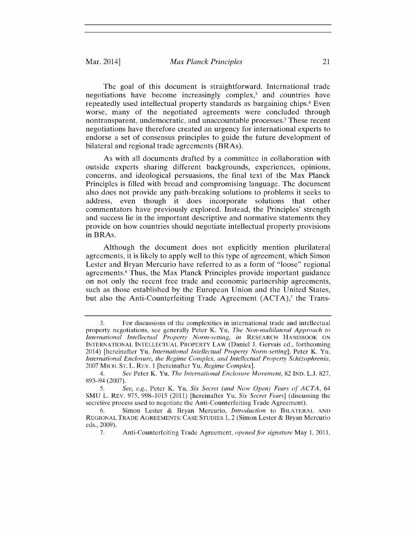#### Mar. 2014] *Max Planck Principles* 21

The goal of this document is straightforward. International trade negotiations have become increasingly complex,<sup>3</sup> and countries have repeatedly used intellectual property standards as bargaining chips.4 Even worse, many of the negotiated agreements were concluded through nontransparent, undemocratic, and unaccountable processes.' These recent negotiations have therefore created an urgency for international experts to endorse a set of consensus principles to guide the future development of bilateral and regional trade agreements (BRAs).

As with all documents drafted **by** a committee in collaboration with outside experts sharing different backgrounds, experiences, opinions, concerns, and ideological persuasions, the final text of the Max Planck Principles is filled with broad and compromising language. The document also does not provide any path-breaking solutions to problems it seeks to address, even though it does incorporate solutions that other commentators have previously explored. Instead, the Principles' strength and success lie in the important descriptive and normative statements they provide on how countries should negotiate intellectual property provisions in BRAs.

Although the document does not explicitly mention plurilateral agreements, it is likely to apply well to this type of agreement, which Simon Lester and Bryan Mercurio have referred to as a form of "loose" regional agreements.<sup>6</sup> Thus, the Max Planck Principles provide important guidance on not only the recent free trade and economic partnership agreements, such as those established **by** the European Union and the United States, but also the Anti-Counterfeiting Trade Agreement (ACTA),<sup>7</sup> the Trans-

**<sup>3.</sup>** For discussions of the complexities in international trade and intellectual property negotiations, see generally Peter K. Yu, *The Non-multilateral Approach to International Intellectual Property Norm-setting, in* RESEARCH HANDBOOK **ON INTERNATIONAL INTELLECTUAL** PROPERTY LAW (Daniel **J.** Gervais ed., forthcoming 2014) [hereinafter Yu, *International Intellectual Property Norm-setting];* Peter K. Yu, *International Enclosure, the Regime Complex, and Intellectual Property Schizophrenia,* **2007 MICH. ST.** L. REV. 1 [hereinafter Yu, *Regime Complex].*

*<sup>4.</sup> See* Peter K. Yu, *The International Enclosure Movement,* **82 IND. L.J. 827, 893-94 (2007).**

*<sup>5.</sup> See, e.g.,* Peter K. Yu, *Six Secret (and Now Open) Fears of ACTA, 64* **SMU** L. REV. **975, 998-1015** (2011) [hereinafter Yu, *Six Secret Fears]* (discussing the secretive process used to negotiate the Anti-Counterfeiting Trade Agreement).

**<sup>6.</sup>** Simon Lester **&** Bryan Mercurio, *Introduction* to BILATERAL **AND REGIONAL TRADE AGREEMENTS: CASE STUDIES 1,** 2 (Simon Lester **&** Bryan Mercurio eds., **2009).**

*<sup>7.</sup>* Anti-Counterfeiting Trade Agreement, *opened for signature May* **1, 2011,**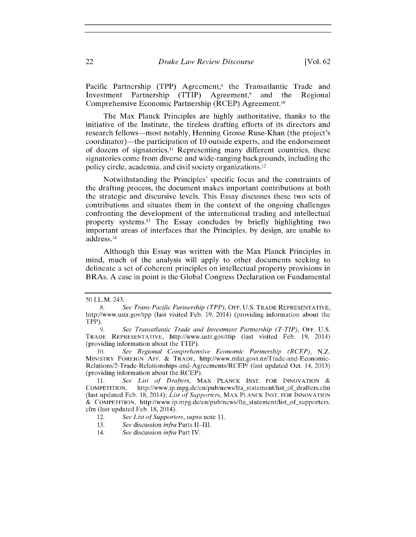Pacific Partnership (TPP) Agreement,<sup>8</sup> the Transatlantic Trade and Investment Partnership (TTIP) Agreement,<sup>9</sup> and the Regional Comprehensive Economic Partnership (RCEP) Agreement.10

The Max Planck Principles are **highly** authoritative, thanks to the initiative of the Institute, the tireless drafting efforts of its directors and research fellows-most notably, Henning Grosse Ruse-Khan (the project's coordinator)-the participation of **10** outside experts, and the endorsement of dozens of signatories." Representing many different countries, these signatories come from diverse and wide-ranging backgrounds, including the policy circle, academia, and civil society organizations.12

Notwithstanding the Principles' specific focus and the constraints of the drafting process, the document makes important contributions at both the strategic and discursive levels. This Essay discusses these two sets of contributions and situates them in the context of the ongoing challenges confronting the development of the international trading and intellectual property systems." The Essay concludes **by** briefly highlighting two important areas of interfaces that the Principles, **by** design, are unable to address. <sup>14</sup>

Although this Essay was written with the Max Planck Principles in mind, much of the analysis will apply to other documents seeking to delineate a set of coherent principles on intellectual property provisions in BRAs. **A** case in point is the Global Congress Declaration on Fundamental

**13.** *See* discussion *infra* Parts **11-111.**

**<sup>50</sup>** I.L.M. 243.

**<sup>8.</sup>** *See Trans-Pacific Partnership (TPP),* OFF. **U.S.** TRADE REPRESENTATIVE, http://www.ustr.gov/tpp (last visited Feb. **19,** 2014) (providing information about the TPP).

*<sup>9.</sup> See Transatlantic Trade and Investment Partnership (T-TIP),* **OFF. U.S. TRADE** REPRESENTATIVE, http://www.ustr.gov/ttip (last visited Feb. **19,** 2014) (providing information about the TTIP).

**<sup>10.</sup>** *See Regional Comprehensive Economic Partnership (RCEP), N.Z.* MINISTRY **FOREIGN AFF. &** TRADE, http://www.mfat.govt.nz/Trade-and-Economic-Relations/2-Trade-Relationships-and-Agreements/RCEP/ (last updated Oct. 14, **2013)** (providing information about the RCEP).

<sup>11.</sup> *See List of Drafters*, MAX PLANCK INST. FOR INNOVATION &<br>COMPETITION, http://www.ip.mpg.de/en/pub/news/fta statement/list of drafters.cfm **COMPETITION,** http://www.ip.mpg.de/en/pub/news/fta-statement/list-of-drafters.cfm (last updated Feb. **18,** 2014); *List of Supporters,* MAX **PLANCK INST.** FOR **INNOVATION & COMPETITION,** http://www.ip.mpg.de/en/pub/news/fta-statement/list-of-supporters. cfm (last updated Feb. **18,** 2014).

<sup>12.</sup> *See List of Supporters, supra note* **11.**

<sup>14.</sup> *See discussion infra* Part IV.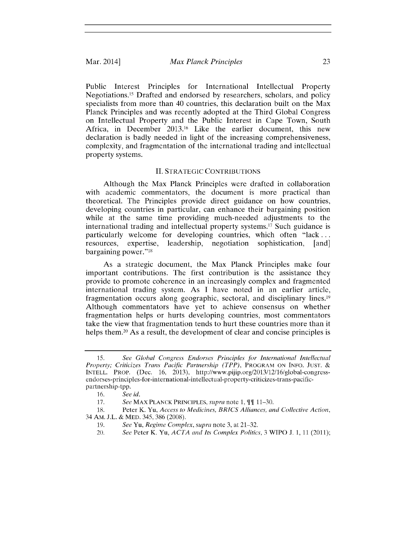Public Interest Principles for International Intellectual Property Negotiations." Drafted and endorsed **by** researchers, scholars, and policy specialists from more than 40 countries, this declaration built on the Max Planck Principles and was recently adopted at the Third Global Congress on Intellectual Property and the Public Interest in Cape Town, South Africa, in December **2013.16** Like the earlier document, this new declaration is badly needed in light of the increasing comprehensiveness, complexity, and fragmentation of the international trading and intellectual property systems.

#### **II. STRATEGIC CONTRIBUTIONS**

Although the Max Planck Principles were drafted in collaboration with academic commentators, the document is more practical than theoretical. The Principles provide direct guidance on how countries, developing countries in particular, can enhance their bargaining position while at the same time providing much-needed adjustments to the international trading and intellectual property systems.<sup>17</sup> Such guidance is particularly welcome for developing countries, which often "lack **...** resources, expertise, leadership, negotiation sophistication, [and] bargaining power."<sup>18</sup>

As a strategic document, the Max Planck Principles make four important contributions. The first contribution is the assistance they provide to promote coherence in an increasingly complex and fragmented international trading system. As **I** have noted in an earlier article, fragmentation occurs along geographic, sectoral, and disciplinary lines.<sup>19</sup> Although commentators have yet to achieve consensus on whether fragmentation helps or hurts developing countries, most commentators take the view that fragmentation tends to hurt these countries more than it helps them.<sup>20</sup> As a result, the development of clear and concise principles is

*<sup>15.</sup>* See *Global Congress* Endorses *Principles for International Intellectual Property; Criticizes* Trans *Pacific Partnership (TPP),* PROGRAM **ON INFO. JUST. & INTELL.** PROP. (Dec. **16, 2013),** http://www.pijip.org/2013/12/16/global-congressendorses-principles-for-international-intellectual-property-criticizes-trans-pacificpartnership-tpp.

**<sup>16.</sup>** *See id.*

**<sup>17.</sup>** *See* MAX **PLANCK** PRINCIPLES, *supra note* **1, 11-30.**

**<sup>18.</sup>** Peter K. Yu, *Access to Medicines, BRICS Alliances, and Collective Action,* 34 AM. **J.L. &** MED. 345, **386 (2008).**

**<sup>19.</sup>** *See Yu, Regime Complex, supra* note **3,** at **21-32.**

<sup>20.</sup> *See* Peter K. Yu, *ACTA and Its Complex Politics,* **3** WIPO **J. 1, 11** (2011);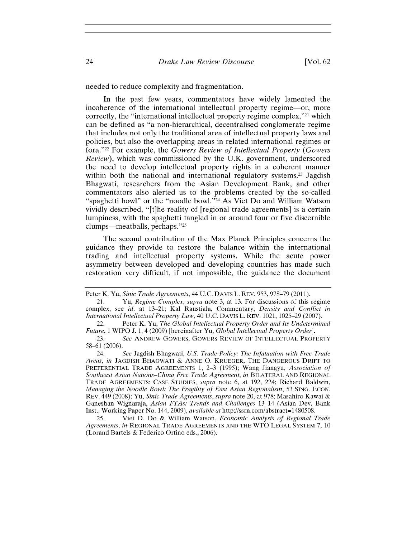needed to reduce complexity and fragmentation.

In the past few years, commentators have widely lamented the incoherence of the international intellectual property regime-or, more correctly, the "international intellectual property regime complex,"<sup>21</sup> which can be defined as "a non-hierarchical, decentralised conglomerate regime that includes not only the traditional area of intellectual property laws and policies, but also the overlapping areas in related international regimes or fora." 22 For example, the *Gowers Review of Intellectual Property (Gowers Review),* which was commissioned **by** the **U.K.** government, underscored the need to develop intellectual property rights in a coherent manner within both the national and international regulatory systems.<sup>23</sup> Jagdish Bhagwati, researchers from the Asian Development Bank, and other commentators also alerted us to the problems created **by** the so-called "spaghetti bowl" or the "noodle bowl."<sup>24</sup> As Viet Do and William Watson vividly described, "[t]he reality of [regional trade agreements] is a certain lumpiness, with the spaghetti tangled in or around four or five discernible clumps—meatballs, perhaps."25

The second contribution of the Max Planck Principles concerns the guidance they provide to restore the balance within the international trading and intellectual property systems. While the acute power asymmetry between developed and developing countries has made such restoration very difficult, if not impossible, the guidance the document

24. *See* Jagdish Bhagwati, *U.S.* Trade *Policy:* The *Inftituation with Free Trade Areas,* in JAGDISH BHAGWATI **& ANNE O.** KRUEGER, THE DANGEROUS DRIFT TO PREFERENTIAL TRADE AGREEMENTS **1, 2-3 (1995);** Wang Jiangyu, Association *of* Southeast *Asian Nations-China Free Trade Agreement, in* BILATERAL **AND REGIONAL TRADE AGREEMENTS: CASE STUDIES,** *supra* note **6,** at **192,** 224; Richard Baldwin, *Managing the Noodle Bowl: The Fragility of East Asian Regionalism,* **53 SING. ECON.** REV. 449 **(2008);** Yu, *Sinic Trade Agreements, supra* note 20, at **978;** Masahiro Kawai **&** Ganeshan Wignaraja, *Asian FTAs: Trends and Challenges* 13-14 (Asian Dev. Bank Inst., Working Paper No. 144, **2009),** *available at* http://ssrn.com/abstract= **1480508.**

**25.** Viet **D.** Do **&** William Watson, *Economic Analysis of Regional Trade Agreements, in* **REGIONAL TRADE AGREEMENTS AND** THE WTO **LEGAL** SYSTEM 7, **<sup>10</sup>** (Lorand Bartels **&** Federico Ortino eds., **2006).**

Peter K. Yu, *Sinic Trade Agreements,* 44 **U.C.** DAVIS L. REV. **953, 978-79** (2011).

<sup>21.</sup> *Yu, Regime Complex, supra* note **3,** at **13.** For discussions of this regime complex, see *id.* at **13-21;** Kal Raustiala, Commentary, *Density and Conflict in International Intellectual Property Law,* 40 **U.C.** DAVIS L. REV. 1021, **1025-29 (2007).**

<sup>22.</sup> Peter K. Yu, *The Global Intellectual Property Order and Its Undetermined Future,* 1 WIPO **J. 1,** 4 **(2009)** [hereinafter Yu, *Global Intellectual Property Order].*

**<sup>23.</sup>** *See* ANDREW **GOWERS,** GOWERS REVIEW **OF INTELLECTUAL PROPERTY 58-61 (2006).**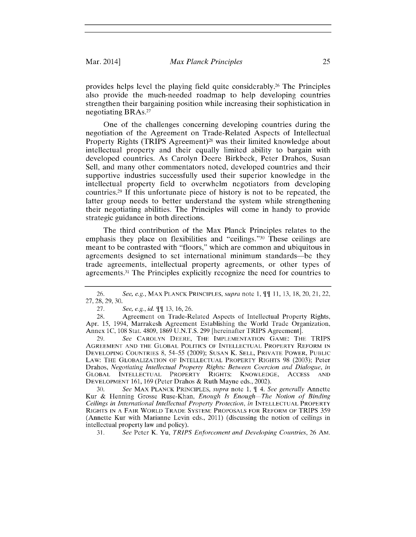provides helps level the playing field quite considerably. 26 The Principles also provide the much-needed roadmap to help developing countries strengthen their bargaining position while increasing their sophistication in negotiating **BRAs.27**

One of the challenges concerning developing countries during the negotiation of the Agreement on Trade-Related Aspects of Intellectual Property Rights (TRIPS Agreement)<sup>28</sup> was their limited knowledge about intellectual property and their equally limited ability to bargain with developed countries. As Carolyn Deere Birkbeck, Peter Drahos, Susan Sell, and many other commentators noted, developed countries and their supportive industries successfully used their superior knowledge in the intellectual property field to overwhelm negotiators from developing countries. <sup>29</sup>**If** this unfortunate piece of history is not to be repeated, the latter group needs to better understand the system while strengthening their negotiating abilities. The Principles will come in handy to provide strategic guidance in both directions.

The third contribution of the Max Planck Principles relates to the emphasis they place on flexibilities and "ceilings."<sup>30</sup> These ceilings are meant to be contrasted with "floors," which are common and ubiquitous in agreements designed to set international minimum standards-be they trade agreements, intellectual property agreements, or other types of agreements. 31 The Principles explicitly recognize the need for countries to

**<sup>26.</sup>** See, e.g., MAX **PLANCK** PRINCIPLES, *supra note* **1, 11 11, 13, 18,** 20, 21, 22, **27, 28, 29, 30.**

**<sup>27.</sup>** See, e.g., id. *1* **13, 16, 26.**

**<sup>28.</sup>** Agreement on Trade-Related Aspects of Intellectual Property Rights, Apr. **15,** 1994, Marrakesh Agreement Establishing the World Trade Organization, Annex **1C, 108** Stat. **4809, 1869 U.N.T.S. 299** [hereinafter TRIPS Agreement].

**<sup>29.</sup>** See CAROLYN DEERE, THE **IMPLEMENTATION GAME:** THE TRIPS **AGREEMENT AND** THE GLOBAL **POLITICS** OF **INTELLECTUAL** PROPERTY REFORM **IN DEVELOPING** COUNTRIES **8, 54-55 (2009); SUSAN** K. **SELL,** PRIVATE POWER, PUBLIC LAW: THE **GLOBALIZATION** OF **INTELLECTUAL** PROPERTY RIGHTS **98 (2003);** Peter *Drahos, Negotiating Intellectual Property Rights: Between Coercion and Dialogue, in* GLOBAL **INTELLECTUAL** PROPERTY RIGHTS: **KNOWLEDGE, ACCESS AND DEVELOPMENT 161, 169** (Peter Drahos **&** Ruth Mayne eds., 2002).

**<sup>30.</sup>** *See* MAX **PLANCK** PRINCIPLES, *supra note* **1,** *4. See generally* Annette Kur **&** Henning Grosse Ruse-Khan, *Enough Is Enough-The Notion of Binding Ceilings in International Intellectual Property Protection, in INTELLECTUAL PROPERTY* RIGHTS **IN A** FAIR WORLD TRADE SYSTEM: PROPOSALS FOR REFORM OF TRIPS **359** (Annette Kur with Marianne Levin eds., 2011) (discussing the notion of ceilings in intellectual property law and policy).

**<sup>31.</sup>** *See* Peter K. Yu, *TRIPS Enforcement and Developing Countries,* **26** AM.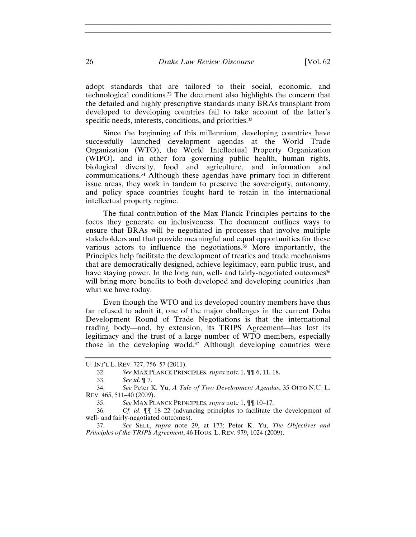adopt standards that are tailored to their social, economic, and technological conditions.3 2 The document also highlights the concern that the detailed and **highly** prescriptive standards many BRAs transplant from developed to developing countries fail to take account of the latter's specific needs, interests, conditions, and priorities.<sup>33</sup>

Since the beginning of this millennium, developing countries have successfully launched development agendas at the World Trade Organization (WTO), the World Intellectual Property Organization (WIPO), and in other fora governing public health, human rights, biological diversity, food and agriculture, and information and communications.3 4 Although these agendas have primary foci in different issue areas, they work in tandem to preserve the sovereignty, autonomy, and policy space countries fought hard to retain in the international intellectual property regime.

The final contribution of the Max Planck Principles pertains to the focus they generate on inclusiveness. The document outlines ways to ensure that BRAs will be negotiated in processes that involve multiple stakeholders and that provide meaningful and equal opportunities for these various actors to influence the negotiations.35 More importantly, the Principles help facilitate the development of treaties and trade mechanisms that are democratically designed, achieve legitimacy, earn public trust, and have staying power. In the long run, well- and fairly-negotiated outcomes<sup>36</sup> will bring more benefits to both developed and developing countries than what we have today.

Even though the WTO and its developed country members have thus far refused to admit it, one of the major challenges in the current Doha Development Round of Trade Negotiations is that the international trading body-and, **by** extension, its TRIPS Agreement-has lost its legitimacy and the trust of a large number of WTO members, especially those in the developing world.<sup>37</sup> Although developing countries were

**U. INT'L** L. REV. **727, 756-57 (2011).**

**<sup>32.</sup>** See MAX PLANCK PRINCIPLES, *supra* note 1,  $\P$  [6, 11, 18.

**<sup>33.</sup>** *See id. 7.*

<sup>34.</sup> *See* Peter K. Yu, *A Tale of Two Development Agendas,* **35** OHIo N.U. L. REV. 465, 511-40 **(2009).**

**<sup>35.</sup>** See MAX PLANCK PRINCIPLES, *supra* note 1,  $\P\P$  10-17.

**<sup>36.</sup>** *Cf id.* **1 18-22** (advancing principles to facilitate the development of well- and fairly-negotiated outcomes).<br>37. See SELL. supra note 2

**<sup>37.</sup>** *See SELL, supra* note **29,** at **173;** Peter K. Yu, *The Objectives and Principles of the TRIPS Agreement,* 46 Hous. L. REV. **979, 1024 (2009).**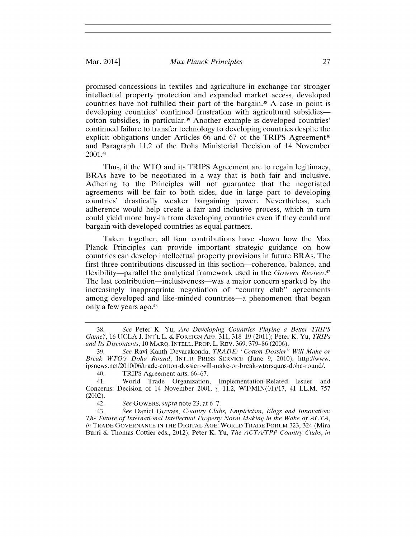promised concessions in textiles and agriculture in exchange for stronger intellectual property protection and expanded market access, developed countries have not fulfilled their part of the bargain. <sup>8</sup>**A** case in point is developing countries' continued frustration with agricultural subsidiescotton subsidies, in particular.<sup>39</sup> Another example is developed countries' continued failure to transfer technology to developing countries despite the explicit obligations under Articles 66 and 67 of the TRIPS Agreement<sup>40</sup> and Paragraph 11.2 of the Doha Ministerial Decision of 14 November 2001.41

Thus, if the WTO and its TRIPS Agreement are to regain legitimacy, BRAs have to be negotiated in a way that is both fair and inclusive. Adhering to the Principles will not guarantee that the negotiated agreements will be fair to both sides, due in large part to developing countries' drastically weaker bargaining power. Nevertheless, such adherence would help create a fair and inclusive process, which in turn could yield more buy-in from developing countries even if they could not bargain with developed countries as equal partners.

Taken together, all four contributions have shown how the Max Planck Principles can provide important strategic guidance on how countries can develop intellectual property provisions in future BRAs. The first three contributions discussed in this section-coherence, balance, and flexibility-parallel the analytical framework used in the *Gowers Review. <sup>42</sup>* The last contribution-inclusiveness-was a major concern sparked **by** the increasingly inappropriate negotiation of "country club" agreements among developed and like-minded countries-a phenomenon that began only a few years ago.43

**<sup>38.</sup>** *See* Peter K. Yu, *Are Developing Countries Playing a Better TRIPS Game?,* **16** UCLA **J. INT'L L. & FOREIGN AFF. 311, 318-19 (2011);** Peter K. Yu, *TRIPs and Its Discontents, 10* MARQ. **INTELL.** PROP. L. REV. **369, 379-86 (2006).**

**<sup>39.</sup>** *See* Ravi Kanth Devarakonda, *TRADE: "Cotton Dossier" Will Make or Break WTO's Doha Round,* INTER PRESS **SERVICE** (June *9,* 2010), http://www. ipsnews.net/2010/06/trade-cotton-dossier-will-make-or-break-wtorsquos-doha-round/.

<sup>40.</sup> TRIPS Agreement arts. **66-67.**

<sup>41.</sup> World Trade Organization, Implementation-Related Issues and Concerns: Decision of 14 November 2001,  $\P$  11.2, WT/MIN(01)/17, 41 I.L.M. 757 (2002).

<sup>42.</sup> *See GOWERS, supra* note **23,** at **6-7.**

<sup>43.</sup> *See* Daniel Gervais, *Country Clubs, Empiricism, Blogs and Innovation: The Future of International Intellectual Property Norm Making in the Wake of ACTA, in* **TRADE GOVERNANCE IN THE DIGITAL AGE:** WORLD TRADE FORUM **323,** 324 (Mira Burri **&** Thomas Cottier eds., 2012); Peter K. Yu, *The ACTA/TPP Country Clubs, in*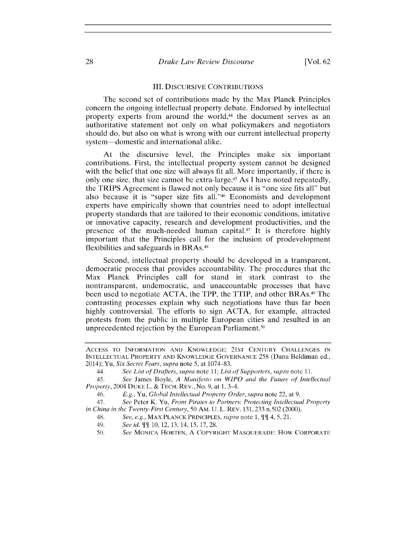#### III. **DISCURSIVE CONTRIBUTIONS**

The second set of contributions made **by** the Max Planck Principles concern the ongoing intellectual property debate. Endorsed **by** intellectual property experts from around the world,<sup>44</sup> the document serves as an authoritative statement not only on what policymakers and negotiators should do, but also on what is wrong with our current intellectual property system-domestic and international alike.

At the discursive level, the Principles make six important contributions. First, the intellectual property system cannot be designed with the belief that one size will always fit all. More importantly, if there is only one size, that size cannot be extra-large.45 As **I** have noted repeatedly, the TRIPS Agreement is flawed not only because it is "one size fits all" but also because it is "super size fits all."<sup>46</sup> Economists and development experts have empirically shown that countries need to adopt intellectual property standards that are tailored to their economic conditions, imitative or innovative capacity, research and development productivities, and the presence of the much-needed human capital.47 It is therefore **highly** important that the Principles call for the inclusion of prodevelopment flexibilities and safeguards in BRAs.<sup>48</sup>

Second, intellectual property should be developed in a transparent, democratic process that provides accountability. The procedures that the Max Planck Principles call for stand in stark contrast to the nontransparent, undemocratic, and unaccountable processes that have been used to negotiate **ACTA,** the TPP, the TTIP, and other BRAs.49 The contrasting processes explain why such negotiations have thus far been **highly** controversial. The efforts to sign **ACTA,** for example, attracted protests from the public in multiple European cities and resulted in an unprecedented rejection by the European Parliament.<sup>50</sup>

**ACCESS** TO INFORMATION **AND** KNOWLEDGE: **21ST CENTURY CHALLENGES IN INTELLECTUAL** PROPERTY **AND KNOWLEDGE GOVERNANCE 258** (Dana Beldiman ed., 2014); Yu, *Six Secret Fears, supra* note **5,** at **1074-83.**

*<sup>44.</sup> See List of Drafters, supra note 11; List of Supporters, supra note* **11.**

*<sup>45.</sup> See* James Boyle, *A Manifesto on WIPO and the Future of Intellectual Property,* 2004 **DUKE** L. **& TECH.** REV., No. **9,** at **1,** 3-4.

<sup>46.</sup> *E.g., Yu,* Global *Intellectual Property Order, supra* note 22, at **9.**

*<sup>47.</sup> See* Peter K. Yu, *From Pirates to Partners: Protecting Intellectual Property in China in the Twenty-First Century, 50* **Am. U.** L. REV. **131, 233** n.502 (2000).

<sup>48.</sup> *See, e.g.,* **MAX PLANCK PRINCIPLES,** *supra note* **1,** 4, **5,** 21.

*<sup>49.</sup> See id. I* **10,** 12, **13,** 14, **15, 17, 28.**

*<sup>50.</sup> See* **MONICA** HORTEN, **A** COPYRIGHT **MASQUERADE:** How CORPORATE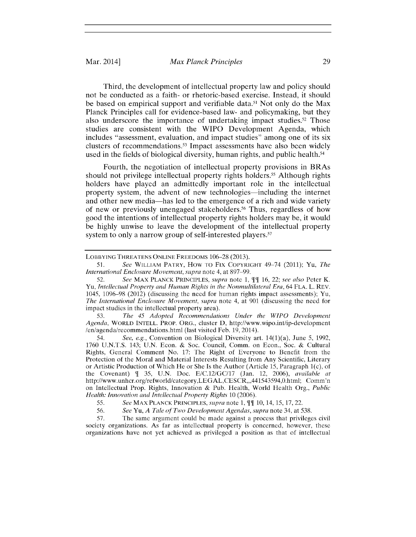Third, the development of intellectual property law and policy should not be conducted as a faith- or rhetoric-based exercise. Instead, it should be based on empirical support and verifiable data.<sup>51</sup> Not only do the Max Planck Principles call for evidence-based law- and policymaking, but they also underscore the importance of undertaking impact studies.<sup>52</sup> Those studies are consistent with the WIPO Development Agenda, which includes "assessment, evaluation, and impact studies" among one of its six clusters of recommendations.<sup>53</sup> Impact assessments have also been widely used in the fields of biological diversity, human rights, and public health. <sup>54</sup>

Fourth, the negotiation of intellectual property provisions in BRAs should not privilege intellectual property rights holders.<sup>55</sup> Although rights holders have played an admittedly important role in the intellectual property system, the advent of new technologies-including the internet and other new media—has led to the emergence of a rich and wide variety of new or previously unengaged stakeholders.<sup>56</sup> Thus, regardless of how good the intentions of intellectual property rights holders may be, it would be **highly** unwise to leave the development of the intellectual property system to only a narrow group of self-interested players.<sup>57</sup>

*53. The 45 Adopted Recommendations Under the WIPO Development Agenda,* **WORLD INTELL. PROP.** ORG., cluster **D,** http://www.wipo.int/ip-development /en/agenda/recommendations.html (last visited Feb. **19,** 2014).

*54. See, e.g.,* Convention on Biological Diversity art. 14(1)(a), June **5, 1992, 1760** U.N.T.S. 143; U.N. Econ. **&** Soc. Council, Comm. on Econ., Soc. **&** Cultural Rights, General Comment No. **17:** The Right of Everyone to Benefit from the Protection of the Moral and Material Interests Resulting from Any Scientific, Literary or Artistic Production of Which He or She Is the Author (Article **15,** Paragraph 1(c), of the Covenant) **1 35,** U.N. Doc. **E/C.12/GC/17** (Jan. 12, **2006),** *available at* http://www.unhcr.org/refworld/category,LEGAL,CESCR,,,441543594,0.html; Comm'n on Intellectual Prop. Rights, Innovation **&** Pub. Health, World Health Org., *Public Health: Innovation and Intellectual Property Rights 10* **(2006).**

*57.* The same argument could be made against a process that privileges civil society organizations. As far as intellectual property is concerned, however, these organizations have not yet achieved as privileged a position as that of intellectual

**LOBBYING THREATENS ONLINE FREEDOMS 106-28 (2013).**

*<sup>51.</sup> See* **WILLIAM PATRY,** How **To** Fix **COPYRIGHT** *49-74* (2011); Yu, *The International Enclosure Movement, supra* note 4, at **897-99.**

**<sup>52.</sup>** *See* **MAX PLANCK PRINCIPLES,** *supra note* **1, 16,** 22; *see also* Peter K. *Yu, Intellectual Property and Human Rights in the Nonmultilateral Era, 64* **FLA.** L. REV. 1045, **1096-98** (2012) (discussing the need for human rights impact assessments); Yu, *The International Enclosure Movement, supra* note *4,* at **901** (discussing the need for impact studies in the intellectual property area).

*<sup>55.</sup> See* **MAX PLANCK PRINCIPLES,** *supra note* **1, 11 10,** 14, **15, 17,** 22.

*<sup>56.</sup> See* Yu, *A Tale of Two Development Agendas, supra* note 34, at **538.**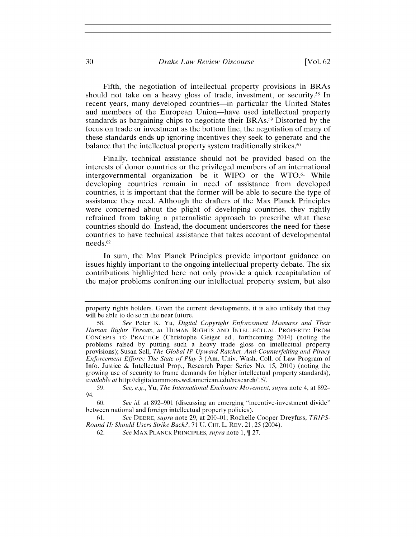Fifth, the negotiation of intellectual property provisions in BRAs should not take on a heavy gloss of trade, investment, or security.<sup>58</sup> In recent years, many developed countries—in particular the United States and members of the European Union-have used intellectual property standards as bargaining chips to negotiate their BRAs." Distorted **by** the focus on trade or investment as the bottom line, the negotiation of many of these standards ends up ignoring incentives they seek to generate and the balance that the intellectual property system traditionally strikes.<sup>60</sup>

Finally, technical assistance should not be provided based on the interests of donor countries or the privileged members of an international intergovernmental organization—be it WIPO or the WTO.<sup>61</sup> While developing countries remain in need of assistance from developed countries, it is important that the former will be able to secure the type of assistance they need. Although the drafters of the Max Planck Principles were concerned about the plight of developing countries, they rightly refrained from taking a paternalistic approach to prescribe what these countries should do. Instead, the document underscores the need for these countries to have technical assistance that takes account of developmental needs.<sup>62</sup>

In sum, the Max Planck Principles provide important guidance on issues **highly** important to the ongoing intellectual property debate. The six contributions highlighted here not only provide a quick recapitulation of the major problems confronting our intellectual property system, but also

property rights holders. Given the current developments, it is also unlikely that they will be able to do so in the near future.

*<sup>58.</sup> See* Peter K. Yu, *Digital Copyright Enforcement Measures and Their Human Rights Threats, in* **HUMAN RIGHTS AND INTELLECTUAL PROPERTY: FROM CONCEPTS TO PRACTICE** (Christophe Geiger ed., forthcoming 2014) (noting the problems raised **by** putting such a heavy trade gloss on intellectual property provisions); Susan Sell, *The Global IP Upward Ratchet, Anti- Counterfeiting and Piracy Enforcement Efforts: The State of Play* **3** (Am. Univ. Wash. Coll. of Law Program of Info. Justice **&** Intellectual Prop., Research Paper Series No. **15,** 2010) (noting the growing use of security to frame demands for higher intellectual property standards), *available at* http://digitalcommons.wcl.american.edu/research/15/.

*<sup>59.</sup> See, e.g., Yu, The International Enclosure Movement, supra* note *4,* at **892-** 94.

**<sup>60.</sup>** *See id.* at **892-901** (discussing an emerging "incentive-investment divide" between national and foreign intellectual property policies).

**<sup>61.</sup>** *See DEERE, supra* **note 29, at** 200-01; Rochelle Cooper Dreyfuss, *TRIPS-Round II: Should Users Strike Back?,* **71 U. CHI.** L. **REV.** 21, **25** (2004).

**<sup>62.</sup>** *See* **MAX PLANCK PRINCIPLES,** *supra note* **1, 27.**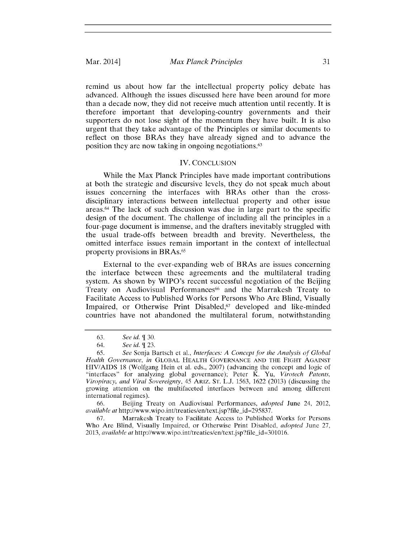#### Mar. 2014] *Max Planck Principles* **31**

remind us about how far the intellectual property policy debate has advanced. Although the issues discussed here have been around for more than a decade now, they did not receive much attention until recently. It is therefore important that developing-country governments and their supporters do not lose sight of the momentum they have built. It is also urgent that they take advantage of the Principles or similar documents to reflect on those BRAs they have already signed and to advance the position they are now taking in ongoing negotiations. <sup>63</sup>

#### IV. **CONCLUSION**

While the Max Planck Principles have made important contributions at both the strategic and discursive levels, they do not speak much about issues concerning the interfaces with BRAs other than the crossdisciplinary interactions between intellectual property and other issue areas. 64 The lack of such discussion was due in large part to the specific design of the document. The challenge of including all the principles in a four-page document is immense, and the drafters inevitably struggled with the usual trade-offs between breadth and brevity. Nevertheless, the omitted interface issues remain important in the context of intellectual property provisions in BRAs.6s

External to the ever-expanding web of BRAs are issues concerning the interface between these agreements and the multilateral trading system. As shown **by** WIPO's recent successful negotiation of the Beijing Treaty on Audiovisual Performances<sup>66</sup> and the Marrakesh Treaty to Facilitate Access to Published Works for Persons Who Are Blind, Visually Impaired, or Otherwise Print Disabled,<sup>67</sup> developed and like-minded countries have not abandoned the multilateral forum, notwithstanding

**<sup>63.</sup>** *See id.* **30.**

*<sup>64.</sup> See id.* **23.**

*<sup>65.</sup> See* Sonja Bartsch et al., *Interfaces: A Concept for the Analysis of Global Health Governance, in* GLOBAL HEALTH **GOVERNANCE AND** THE **FIGHT AGAINST HIV/AIDS 18** (Wolfgang Hein et al. eds., **2007)** (advancing the concept and logic of "interfaces" for analyzing global governance); Peter K. Yu, *Virotech Patents, Viropiracy, and Viral Sovereignty,* 45 ARIZ. **ST. L.J. 1563, 1622 (2013)** (discussing the growing attention on the multifaceted interfaces between and among different international regimes).

**<sup>66.</sup>** Beijing Treaty on Audiovisual Performances, *adopted* June 24, 2012, *available at http://www.wipo.int/treaties/en/text.jsp?file\_id=295837.* 

**<sup>67.</sup>** Marrakesh Treaty to Facilitate Access to Published Works for Persons Who Are Blind, Visually Impaired, or Otherwise Print Disabled, *adopted* June **27,** *2013, available at* http://www.wipo.int/treaties/en/text.jsp?file-id=301016.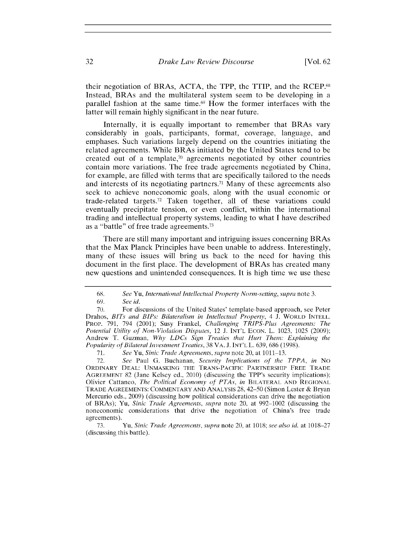their negotiation of BRAs, **ACTA,** the TPP, the TTIP, and the RCEP.68 Instead, BRAs and the multilateral system seem to be developing in a parallel fashion at the same time.69 How the former interfaces with the latter will remain **highly** significant in the near future.

Internally, it is equally important to remember that BRAs vary considerably in goals, participants, format, coverage, language, and emphases. Such variations largely depend on the countries initiating the related agreements. While BRAs initiated **by** the United States tend to be created out of a template, $\pi$  agreements negotiated by other countries contain more variations. The free trade agreements negotiated **by** China, for example, are filled with terms that are specifically tailored to the needs and interests of its negotiating partners.<sup>71</sup> Many of these agreements also seek to achieve noneconomic goals, along with the usual economic or trade-related targets.72 Taken together, all of these variations could eventually precipitate tension, or even conflict, within the international trading and intellectual property systems, leading to what **I** have described as a "battle" of free trade agreements.71

There are still many important and intriguing issues concerning BRAs that the Max Planck Principles have been unable to address. Interestingly, many of these issues will bring us back to the need for having this document in the first place. The development of BRAs has created many new questions and unintended consequences. It is high time we use these

**70.** For discussions of the United States' template-based approach, see Peter Drahos, *BITs and BIPs: Bilateralism in Intellectual Property, 4* **J.** WORLD **INTELL.** PROP. **791,** *794* (2001); Susy Frankel, *Challenging TRIPS-Plus Agreements: The Potential Utility of Non-Violation Disputes,* 12 **J. INT'L ECON.** L. **1023, 1025 (2009);** Andrew T. Guzman, *Why LDCs Sign Treaties that Hurt Them: Explaining the Popularity of Bilateral Investment Treaties,* **38** VA. **J. INT'L** L. **639, 686 (1998).**

**71.** *See Yu, Sinic Trade Agreements, supra* note 20, at **1011-13.**

**72.** *See* Paul **G.** Buchanan, *Security Implications of the TPPA, in No* ORDINARY **DEAL: UNMASKING** THE **TRANS-PACIFIC** PARTNERSHIP FREE TRADE AGREEMENT **82** (Jane Kelsey ed., 2010) (discussing the TPP's security implications); Olivier Cattaneo, *The Political Economy of PTAs, in* BILATERAL **AND** REGIONAL TRADE **AGREEMENTS:** COMMENTARY **AND** ANALYSIS **28,** 42-50 (Simon Lester **&** Bryan Mercurio eds., **2009)** (discussing how political considerations can drive the negotiation of BRAs); Yu, *Sinic Trade Agreements, supra* note 20, at **992-1002** (discussing the noneconomic considerations that drive the negotiation of China's free trade agreements).

**73.** Yu, *Sinic Trade Agreements, supra* note 20, at **1018;** *see also id.* at **1018-27** (discussing this battle).

**<sup>68.</sup>** *See Yu, International Intellectual Property Norm-setting, supra* note **3.**

*<sup>69.</sup> See id.*